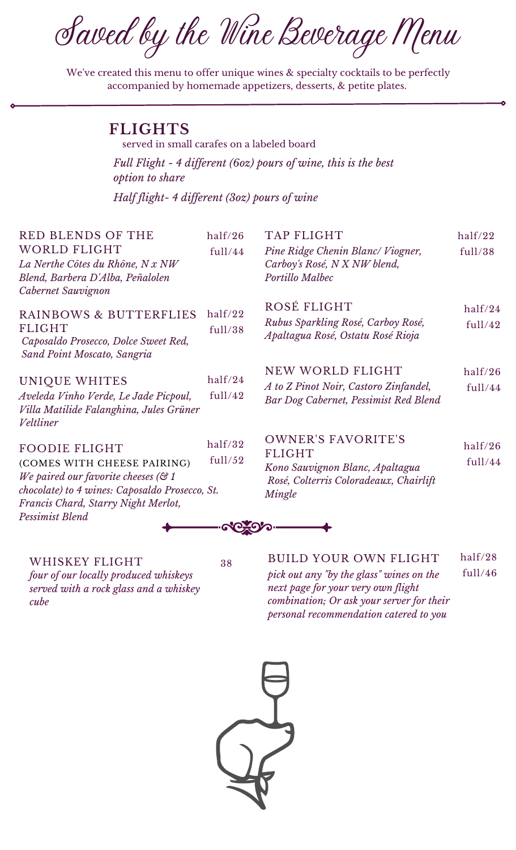Saved by the Wine Beverage Menu

We've created this menu to offer unique wines & specialty cocktails to be perfectly accompanied by homemade appetizers, desserts, & petite plates.

served in small carafes on a labeled board

**FLIGHTS**

| <i>option to share</i>                                                                                                                                                                                               |                    | Full Flight - 4 different (60z) pours of wine, this is the best                                                                   |                    |
|----------------------------------------------------------------------------------------------------------------------------------------------------------------------------------------------------------------------|--------------------|-----------------------------------------------------------------------------------------------------------------------------------|--------------------|
| Half flight-4 different (30z) pours of wine                                                                                                                                                                          |                    |                                                                                                                                   |                    |
| <b>RED BLENDS OF THE</b><br><b>WORLD FLIGHT</b><br>La Nerthe Côtes du Rhône, N x NW<br>Blend, Barbera D'Alba, Peñalolen<br>Cabernet Sauvignon                                                                        | half/26<br>full/44 | <b>TAP FLIGHT</b><br>Pine Ridge Chenin Blanc/Viogner,<br>Carboy's Rosé, N X NW blend,<br>Portillo Malbec                          | half/22<br>full/38 |
| RAINBOWS & BUTTERFLIES<br><b>FLIGHT</b><br>Caposaldo Prosecco, Dolce Sweet Red,<br>Sand Point Moscato, Sangria                                                                                                       | half/22<br>full/38 | ROSÉ FLIGHT<br>Rubus Sparkling Rosé, Carboy Rosé,<br>Apaltagua Rosé, Ostatu Rosé Rioja                                            | half/24<br>full/42 |
| UNIQUE WHITES<br>Aveleda Vinho Verde, Le Jade Picpoul,<br>Villa Matilide Falanghina, Jules Grüner<br>Veltliner                                                                                                       | half/24<br>full/42 | NEW WORLD FLIGHT<br>A to Z Pinot Noir, Castoro Zinfandel,<br>Bar Dog Cabernet, Pessimist Red Blend                                | half/26<br>full/44 |
| <b>FOODIE FLIGHT</b><br>(COMES WITH CHEESE PAIRING)<br>We paired our favorite cheeses ( $\mathfrak{S}$ 1<br>chocolate) to 4 wines: Caposaldo Prosecco, St.<br>Francis Chard, Starry Night Merlot,<br>Pessimist Blend | half/32<br>full/52 | <b>OWNER'S FAVORITE'S</b><br><b>FLIGHT</b><br>Kono Sauvignon Blanc, Apaltagua<br>Rosé, Colterris Coloradeaux, Chairlift<br>Mingle | half/26<br>full/44 |
|                                                                                                                                                                                                                      |                    |                                                                                                                                   |                    |

WHISKEY FLIGHT *four of our locally produced whiskeys served with a rock glass and a whiskey cube*

38 BUILD YOUR OWN FLIGHT *pick out any "by the glass" wines on the next page for your very own flight combination; Or ask your server for their personal recommendation catered to you* half/28 full/46

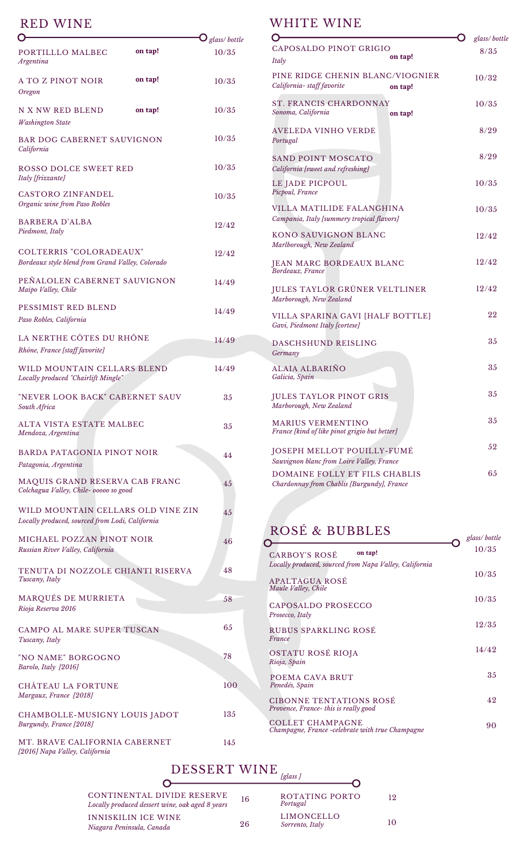### RED WINE

|                                                                                       |         | $\mathbf{O}_{\it glass/\,bottle}$ |
|---------------------------------------------------------------------------------------|---------|-----------------------------------|
| PORTILLLO MALBEC<br><b>Argentina</b>                                                  | on tap! | 10/35                             |
| A TO Z PINOT NOIR<br>Oregon                                                           | on tap! | 10/35                             |
| N X NW RED BLEND<br><b>Washington State</b>                                           | on tap! | 10/35                             |
| <b>BAR DOG CABERNET SAUVIGNON</b><br>California                                       |         | 10/35                             |
| ROSSO DOLCE SWEET RED<br>Italy [frizzante]                                            |         | 10/35                             |
| <b>CASTORO ZINFANDEL</b><br>Organic wine from Paso Robles                             |         | 10/35                             |
| <b>BARBERA D'ALBA</b><br>Piedmont, Italy                                              |         | 12/42                             |
| <b>COLTERRIS "COLORADEAUX"</b><br>Bordeaux style blend from Grand Valley, Colorado    |         | 12/42                             |
| PEÑALOLEN CABERNET SAUVIGNON<br>Maipo Valley, Chile                                   |         | 14/49                             |
| PESSIMIST RED BLEND<br>Paso Robles, California                                        |         | 14/49                             |
| LA NERTHE CÔTES DU RHÔNE<br>Rhône, France [staff favorite]                            |         | 14/49                             |
| WILD MOUNTAIN CELLARS BLEND<br>Locally produced "Chairlift Mingle"                    |         | 14/49                             |
| "NEVER LOOK BACK" CABERNET SAUV<br>South Africa                                       |         | 35                                |
| <b>ALTA VISTA ESTATE MALBEC</b><br>Mendoza, Argentina                                 |         | 35                                |
| <b>BARDA PATAGONIA PINOT NOIR</b><br>Patagonia, Argentina                             |         | 44                                |
| MAQUIS GRAND RESERVA CAB FRANC<br>Colchagua Valley, Chile- 00000 so good              |         | 45                                |
| WILD MOUNTAIN CELLARS OLD VINE ZIN<br>Locally produced, sourced from Lodi, California |         | 45                                |
| MICHAEL POZZAN PINOT NOIR<br>Russian River Valley, California                         |         | 46                                |
| TENUTA DI NOZZOLE CHIANTI RISERVA<br>Tuscany, Italy                                   |         | 48                                |
| MARQUÉS DE MURRIETA<br>Rioja Reserva 2016                                             |         | 58                                |
| <b>CAMPO AL MARE SUPER TUSCAN</b><br>Tuscany, Italy                                   |         | 65                                |
| "NO NAME" BORGOGNO<br>Barolo, Italy [2016]                                            |         | 78                                |
| <b>CHÂTEAU LA FORTUNE</b><br>Margaux, France [2018]                                   |         | 100                               |
| CHAMBOLLE-MUSIGNY LOUIS JADOT<br>Burgundy, France [2018]                              |         | 135                               |
| MT. BRAVE CALIFORNIA CABERNET<br>[2016] Napa Valley, California                       |         | 145                               |

#### WHITE WINE

|                                                                             | glass/bottle |
|-----------------------------------------------------------------------------|--------------|
| CAPOSALDO PINOT GRIGIO<br>on tap!                                           | 8/35         |
| Italy                                                                       |              |
| PINE RIDGE CHENIN BLANC/VIOGNIER<br>California-staff favorite<br>on tap!    | 10/32        |
| <b>ST. FRANCIS CHARDONNAY</b><br>Sonoma, California<br>on tap!              | 10/35        |
| AVELEDA VINHO VERDE<br>Portugal                                             | 8/29         |
| SAND POINT MOSCATO<br>California [sweet and refreshing]                     | 8/29         |
| LE JADE PICPOUL<br>Picpoul, France                                          | 10/35        |
| VILLA MATILIDE FALANGHINA<br>Campania, Italy [summery tropical flavors]     | 10/35        |
| <b>KONO SAUVIGNON BLANC</b><br>Marlborough, New Zealand                     | 12/42        |
| <b>JEAN MARC BORDEAUX BLANC</b><br>Bordeaux, France                         | 12/42        |
| JULES TAYLOR GRÜNER VELTLINER<br>Marborough, New Zealand                    | 12/42        |
| VILLA SPARINA GAVI [HALF BOTTLE]<br>Gavi, Piedmont Italy [cortese]          | 22           |
| DASCHSHUND REISLING<br>Germany                                              | 35           |
| ALAIA ALBARIÑO<br>Galicia, Spain                                            | 35           |
| <b>JULES TAYLOR PINOT GRIS</b><br>Marborough, New Zealand                   | 35           |
| <b>MARIUS VERMENTINO</b><br>France [kind of like pinot grigio but better]   | 35           |
| JOSEPH MELLOT POUILLY-FUMÉ<br>Sauvignon blanc from Loire Valley, France     | 52           |
| DOMAINE FOLLY ET FILS CHABLIS<br>Chardonnay from Chablis [Burgundy], France | 65           |

### ROSÉ & BUBBLES

| INUOL (X. DUDDLEO                                                                                      | glass/bottle |
|--------------------------------------------------------------------------------------------------------|--------------|
| on tap!<br>CARBOY'S ROSÉ                                                                               | 10/35        |
| Locally produced, sourced from Napa Valley, California<br><b>APALTAGUA ROSÉ</b><br>Maule Valley, Chile | 10/35        |
| CAPOSALDO PROSECCO                                                                                     | 10/35        |
| Prosecco, Italy<br>RUBUS SPARKLING ROSE<br>France                                                      | 12/35        |
| OSTATU ROSÉ RIOJA<br>Rioja, Spain                                                                      | 14/42        |
| POEMA CAVA BRUT<br>Penedés, Spain                                                                      | 35           |
| <b>CIBONNE TENTATIONS ROSE</b><br>Provence, France- this is really good                                | 42           |
| COLLET CHAMPAGNE<br>Champagne, France -celebrate with true Champagne                                   | 90           |
|                                                                                                        |              |

## DESSERT WINE *[glass ]*

| CONTINENTAL DIVIDE RESERVE                      | 16 | ROTATING PORTO  | 19. |
|-------------------------------------------------|----|-----------------|-----|
| Locally produced dessert wine, oak aged 8 years |    | Portugal        |     |
|                                                 |    |                 |     |
| INNISKILIN ICE WINE                             |    | LIMONCELLO      |     |
| Niagara Peninsula, Canada                       | 26 | Sorrento, Italy |     |
|                                                 |    |                 |     |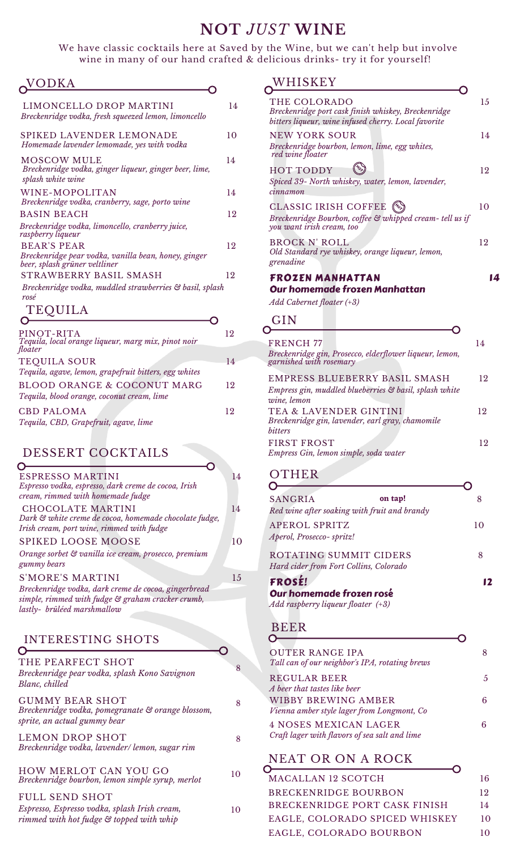# **NOT** *JUST* **WINE**

We have classic cocktails here at Saved by the Wine, but we can't help but involve wine in many of our hand crafted & delicious drinks- try it for yourself!

 $\overline{O}$ 

# **NODKA**

| LIMONCELLO DROP MARTINI<br>Breckenridge vodka, fresh squeezed lemon, limoncello            | 14 |
|--------------------------------------------------------------------------------------------|----|
| SPIKED LAVENDER LEMONADE<br>Homemade lavender lemomade, yes with vodka                     | 10 |
| MOSCOW MULE<br>Breckenridge vodka, ginger liqueur, ginger beer, lime,<br>splash white wine | 14 |
| WINE-MOPOLITAN<br>Breckenridge vodka, cranberry, sage, porto wine                          | 14 |
| <b>BASIN BEACH</b>                                                                         | 12 |
| Breckenridge vodka, limoncello, cranberry juice,<br>raspberry liqueur                      |    |
| <b>BEAR'S PEAR</b>                                                                         | 12 |
| Breckenridge pear vodka, vanilla bean, honey, ginger<br>beer, splash grüner veltliner      |    |
| STRAWBERRY BASIL SMASH                                                                     | 12 |
| Breckenridge vodka, muddled strawberries & basil, splash<br>rosé                           |    |
| $\pi$ $\pi$ $\pi$ $\tau$                                                                   |    |

**TEQUILA** 

| PINOT-RITA<br>Tequila, local orange liqueur, marg mix, pinot noir                    | 12  |
|--------------------------------------------------------------------------------------|-----|
| floater                                                                              |     |
| <b>TEQUILA SOUR</b><br>Tequila, agave, lemon, grapefruit bitters, egg whites         | 14  |
| <b>BLOOD ORANGE &amp; COCONUT MARG</b><br>Tequila, blood orange, coconut cream, lime | 19. |
| <b>CBD PALOMA</b><br>Tequila, CBD, Grapefruit, agave, lime                           | 19  |

#### DESSERT COCKTAILS

| <b>ESPRESSO MARTINI</b><br>Espresso vodka, espresso, dark creme de cocoa, Irish<br>cream, rimmed with homemade fudge     | 14  |
|--------------------------------------------------------------------------------------------------------------------------|-----|
| CHOCOLATE MARTINI<br>Dark & white creme de cocoa, homemade chocolate fudge,<br>Irish cream, port wine, rimmed with fudge | 14  |
| <b>SPIKED LOOSE MOOSE</b><br>Orange sorbet & vanilla ice cream, prosecco, premium<br>gummy bears                         | 10  |
| <b>S'MORE'S MARTINI</b><br>Breckenridge vodka, dark creme de cocoa, gingerbread                                          | 1.5 |
| simple, rimmed with fudge & graham cracker crumb,<br>lastly- brûléed marshmallow                                         |     |

#### INTERESTING SHOTS ⌒

| THE PEARFECT SHOT<br>Breckenridge pear vodka, splash Kono Savignon<br>Blanc, chilled                               | 8  |
|--------------------------------------------------------------------------------------------------------------------|----|
| <b>GUMMY BEAR SHOT</b><br>Breckenridge vodka, pomegranate & orange blossom,<br>sprite, an actual gummy bear        | 8  |
| <b>LEMON DROP SHOT</b><br>Breckenridge vodka, lavender/lemon, sugar rim                                            | 8  |
| <b>HOW MERLOT CAN YOU GO</b><br>Breckenridge bourbon, lemon simple syrup, merlot                                   | 10 |
| <b>FULL SEND SHOT</b><br>Espresso, Espresso vodka, splash Irish cream,<br>rimmed with hot fudge & topped with whip | 10 |

#### **WHISKEY**

| THE COLORADO<br>Breckenridge port cask finish whiskey, Breckenridge<br>bitters liqueur, wine infused cherry. Local favorite | 15 |
|-----------------------------------------------------------------------------------------------------------------------------|----|
| <b>NEW YORK SOUR</b><br>Breckenridge bourbon, lemon, lime, egg whites,<br>red wine floater                                  | 14 |
| <b>HOT TODDY</b><br>Spiced 39- North whiskey, water, lemon, lavender,<br>cinnamon                                           | 12 |
| <b>CLASSIC IRISH COFFEE</b><br>Breckenridge Bourbon, coffee & whipped cream- tell us if<br>you want irish cream, too        | 10 |
| <b>BROCK N' ROLL</b><br>Old Standard rye whiskey, orange liqueur, lemon,<br>grenadine                                       | 12 |
|                                                                                                                             |    |
| FROZEN MANHATTAN<br>Our homemade frozen Manhattan<br>$Add$ Cabernet floater $(+3)$                                          | 14 |
| GIN                                                                                                                         |    |
| <b>FRENCH 77</b><br>Breckenridge gin, Prosecco, elderflower liqueur, lemon,<br>garnished with rosemary                      | 14 |
| EMPRESS BLUEBERRY BASIL SMASH<br>Empress gin, muddled blueberries & basil, splash white<br>wine, lemon                      | 12 |

*bitters* FIRST FROST 12 *Empress Gin, lemon simple, soda water*

#### OTHER

| <b>SANGRIA</b>                                                   | on tap!<br>Red wine after soaking with fruit and brandy |    |
|------------------------------------------------------------------|---------------------------------------------------------|----|
| APEROL SPRITZ<br>Aperol, Prosecco-spritz!                        |                                                         | 10 |
| ROTATING SUMMIT CIDERS<br>Hard cider from Fort Collins, Colorado |                                                         | 8  |
| <b>FROSE!</b>                                                    |                                                         |    |

Our homemade frozen rosé *Add raspberry liqueur floater (+3)*

#### BEER

∩

| <b>OUTER RANGE IPA</b>                                                        |    |
|-------------------------------------------------------------------------------|----|
| Tall can of our neighbor's IPA, rotating brews                                |    |
| <b>REGULAR BEER</b>                                                           | 5. |
| A beer that tastes like beer                                                  |    |
| WIBBY BREWING AMBER<br>Vienna amber style lager from Longmont, Co             |    |
| <b>4 NOSES MEXICAN LAGER</b><br>Craft lager with flavors of sea salt and lime |    |
|                                                                               |    |

# NEAT OR ON A ROCK

| <b>MACALLAN 12 SCOTCH</b>      | 16 |
|--------------------------------|----|
| <b>BRECKENRIDGE BOURBON</b>    | 12 |
| BRECKENRIDGE PORT CASK FINISH  | 14 |
| EAGLE, COLORADO SPICED WHISKEY | 10 |
| EAGLE, COLORADO BOURBON        | 10 |
|                                |    |